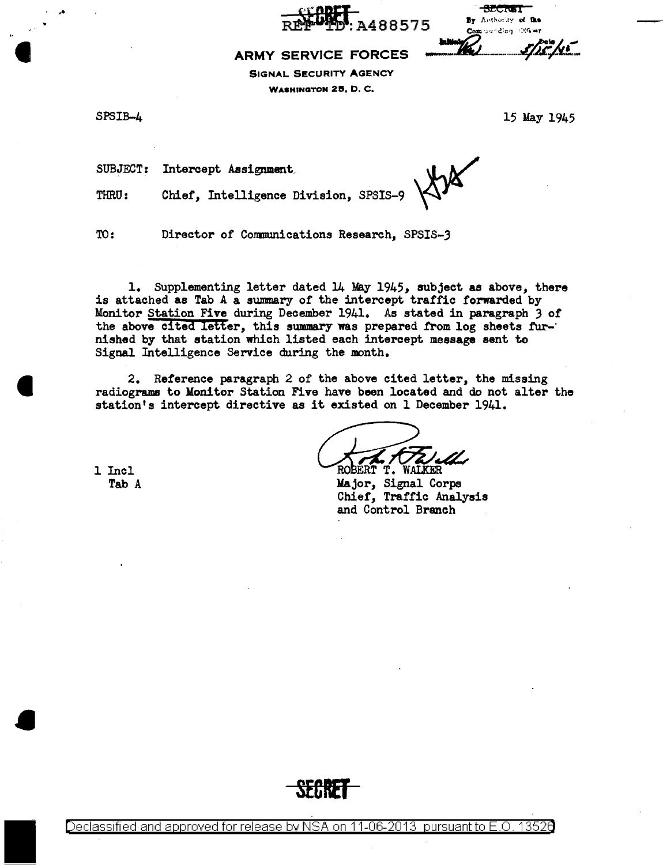488575

By Anthority of the Communicating Officer

#### **ARMY SERVICE FORCES**

SIGNAL SECURITY AGENCY WASHINGTON 25, D. C.

. ..

I

 $SPSIB-4$  15 May 1945

 $5/25/15$ 

SUBJECT: Intercept Assignment.

THRU: Chief, Intelligence Division, SPSIS-9

TO: Director of Conmunications Research, SPSIS-3

1. Supplementing letter dated 14 May 1945, subject as above, there is attached as Tab A a summary of the intercept traffic forwarded by Monitor Station Five during December 1941. As stated in paragraph *3* of the above cited letter, this summary was prepared from log sheets fur-· nished by that station which listed each intercept message sent to Signal Intelligence Service during the month.

2. Reference paragraph 2 of the above cited letter, the missing radiograms to Monitor Station Five have been located and do not alter the station's intercept directive as it existed on 1 December 1941.

1 Incl Tab A

ROBERT T. **TRICHL** 

Major, Signal Corps Chief, Traffic Analysis and Control Branch



Declassified and approved for release by NSA on 11-06-2013 pursuant to E .0. 1352a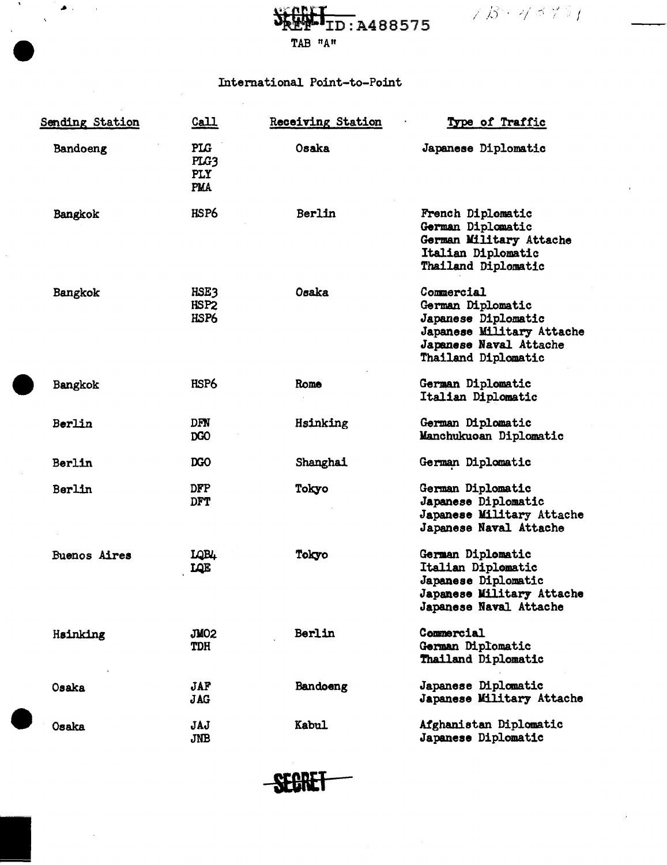$\mathcal{B} + \mathcal{A} \preceq \mathcal{C} \triangleright \mathcal{C}$ 

SEEP-1D: A488575 TAB "A"

### International Point-to-Point

J.

 $\bullet$  .

 $\Delta$ 

 $\sim$ 

| <b>Sending Station</b> | <u>Call</u>                                    | <b>Receiving Station</b> | Type of Traffic                                                                                                                      |
|------------------------|------------------------------------------------|--------------------------|--------------------------------------------------------------------------------------------------------------------------------------|
| Bandoeng               | <b>PLG</b><br>PLG3<br><b>PLY</b><br><b>PMA</b> | Osaka                    | Japanese Diplomatic                                                                                                                  |
| Bangkok                | HSP6                                           | Berlin                   | French Diplomatic<br>German Diplomatic<br>German Military Attache<br>Italian Diplomatic<br>Thailand Diplomatic                       |
| Bangkok                | HSE3<br>HSP <sub>2</sub><br>HSP6               | Osaka                    | Commercial<br>German Diplomatic<br>Japanese Diplomatic<br>Japanese Military Attache<br>Japanese Naval Attache<br>Thailand Diplomatic |
| Bangkok                | HSP6                                           | Rome                     | German Diplomatic<br>Italian Diplomatic                                                                                              |
| Berlin                 | DFN<br>DGO                                     | Hsinking                 | German Diplomatic<br>Manchukuoan Diplomatic                                                                                          |
| Berlin                 | DGO                                            | Shanghai                 | German Diplomatic                                                                                                                    |
| Berlin                 | <b>DFP</b><br><b>DFT</b>                       | Tokyo                    | German Diplomatic<br>Japanese Diplomatic<br>Japanese Military Attache<br>Japanese Naval Attache                                      |
| <b>Buenos Aires</b>    | LQB4<br>LQE                                    | Tokyo                    | German Diplomatic<br>Italian Diplomatic<br>Japanese Diplomatic<br>Japanese Military Attache<br>Japanese Naval Attache                |
| Hsinking               | JMO2<br><b>TDH</b>                             | Berlin                   | Commercial<br>German Diplomatic<br>Thailand Diplomatic                                                                               |
| Osaka                  | <b>JAF</b><br><b>JAG</b>                       | Bandoeng                 | Japanese Diplomatic<br>Japanese Military Attache                                                                                     |
| <b>Osaka</b>           | JAJ<br><b>JNB</b>                              | <b>Kabul</b>             | Afghanistan Diplomatic<br>Japanese Diplomatic                                                                                        |

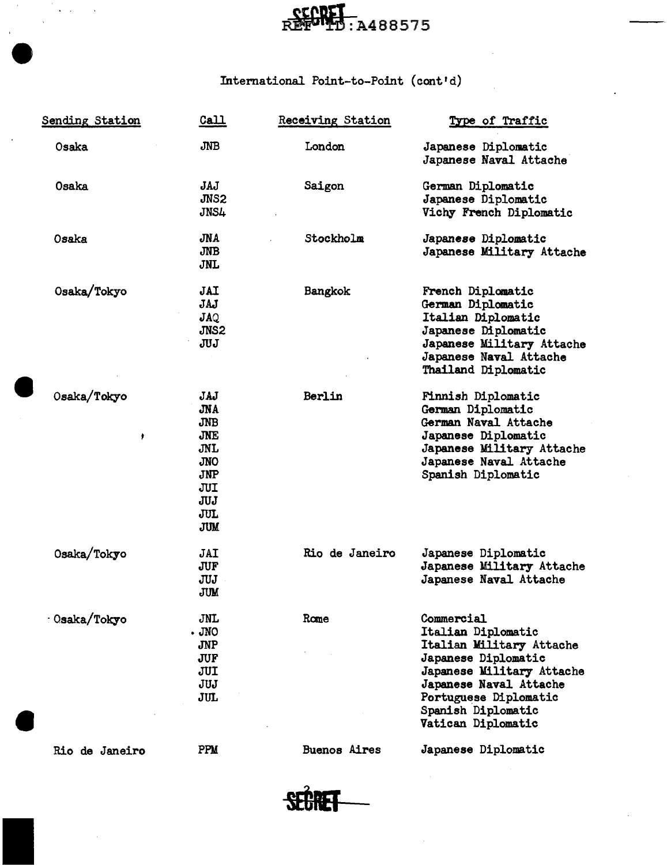# **CCORET**<br>REFULTD:A488575

## International Point-to-Point (cont'd)

e

| <b>Sending Station</b> | Call                                                                                                                | <b>Receiving Station</b> | Type of Traffic                                                                                                                                                                                                 |
|------------------------|---------------------------------------------------------------------------------------------------------------------|--------------------------|-----------------------------------------------------------------------------------------------------------------------------------------------------------------------------------------------------------------|
| Osaka                  | <b>JNB</b>                                                                                                          | London                   | Japanese Diplomatic<br>Japanese Naval Attache                                                                                                                                                                   |
| Osaka                  | JAJ<br>JNS <sub>2</sub><br>JNS4                                                                                     | Saigon                   | German Diplomatic<br>Japanese Diplomatic<br>Vichy French Diplomatic                                                                                                                                             |
| Osaka                  | JNA<br>JNB<br><b>JNL</b>                                                                                            | Stockholm                | Japanese Diplomatic<br>Japanese Military Attache                                                                                                                                                                |
| Osaka/Tokyo            | <b>JAI</b><br>JAJ<br>JAQ<br>JNS2<br>JUJ                                                                             | Bangkok                  | French Diplomatic<br>German Diplomatic<br>Italian Diplomatic<br>Japanese Diplomatic<br>Japanese Military Attache<br>Japanese Naval Attache<br>Thailand Diplomatic                                               |
| Osaka/Tokyo<br>٠       | JAJ<br><b>JNA</b><br><b>JNB</b><br>JNE<br>JNL<br><b>JNO</b><br><b>JNP</b><br>JUI<br><b>JUJ</b><br>JUL<br><b>JUM</b> | Berlin                   | Finnish Diplomatic<br>German Diplomatic<br>German Naval Attache<br>Japanese Diplomatic<br>Japanese Military Attache<br>Japanese Naval Attache<br>Spanish Diplomatic                                             |
| Osaka/Tokyo            | JAI<br><b>JUF</b><br>JUJ<br><b>JUM</b>                                                                              | Rio de Janeiro           | Japanese Diplomatic<br>Japanese Military Attache<br>Japanese Naval Attache                                                                                                                                      |
| : Osaka/Tokyo          | JNL<br>$.$ JNO<br><b>JNP</b><br>JUF<br>JUI<br>JUJ<br>JUL                                                            | Rome                     | Commercial<br>Italian Diplomatic<br>Italian Military Attache<br>Japanese Diplomatic<br>Japanese Military Attache<br>Japanese Naval Attache<br>Portuguese Diplomatic<br>Spanish Diplomatic<br>Vatican Diplomatic |
| Rio de Janeiro         | PPM                                                                                                                 | <b>Buenos Aires</b>      | Japanese Diplomatic                                                                                                                                                                                             |

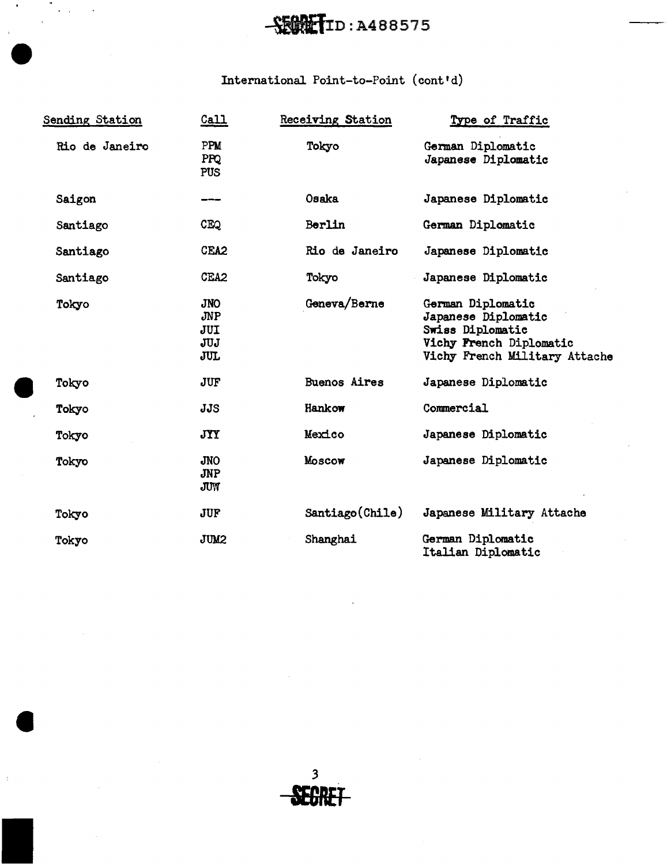## --fifilyn:A488575

## International Point-to-Point (cont'd)

**e** 

| Sending Station | $\underline{\mathtt{Call}}$            | <b>Receiving Station</b> | Type of Traffic                                                                                                          |
|-----------------|----------------------------------------|--------------------------|--------------------------------------------------------------------------------------------------------------------------|
| Rio de Janeiro  | PPM<br>PPQ<br><b>PUS</b>               | Tokyo                    | German Diplomatic<br>Japanese Diplomatic                                                                                 |
| Saigon          | ---                                    | Osaka                    | Japanese Diplomatic                                                                                                      |
| Santiago        | <b>CEQ</b>                             | Berlin                   | German Diplomatic                                                                                                        |
| Santiago        | CEA <sub>2</sub>                       | Rio de Janeiro           | Japanese Diplomatic                                                                                                      |
| Santiago        | CEA <sub>2</sub>                       | Tokyo                    | Japanese Diplomatic                                                                                                      |
| Tokyo           | <b>JNO</b><br>JNP<br>JUI<br>JUJ<br>JUL | Geneva/Berne             | German Diplomatic<br>Japanese Diplomatic<br>Swiss Diplomatic<br>Vichy French Diplomatic<br>Vichy French Military Attache |
| Tokyo           | <b>JUF</b>                             | <b>Buenos Aires</b>      | Japanese Diplomatic                                                                                                      |
| Tokyo           | <b>JJS</b>                             | Hankow                   | Commercial                                                                                                               |
| Tokyo           | <b>JYY</b>                             | Mexico                   | Japanese Diplomatic                                                                                                      |
| Tokyo           | <b>JNO</b><br><b>JNP</b><br>JUW        | MOSCOW                   | Japanese Diplomatic                                                                                                      |
| Tokyo           | <b>JUF</b>                             | Santiago(Chile)          | Japanese Military Attache                                                                                                |
| Tokyo           | <b>JUM2</b>                            | Shanghai                 | German Diplomatic<br>Italian Diplomatic                                                                                  |

3 **BRET**